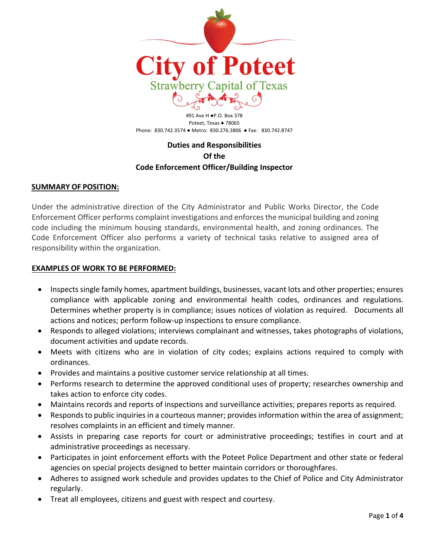

491 Ave H ●P.O. Box 378 Poteet, Texas · 78065 Phone: 830.742.3574 ● Metro: 830.276.3806 ● Fax: 830.742.8747

# **Duties and Responsibilities Of the Code Enforcement Officer/Building Inspector**

## **SUMMARY OF POSITION:**

Under the administrative direction of the City Administrator and Public Works Director, the Code Enforcement Officer performs complaint investigations and enforces the municipal building and zoning code including the minimum housing standards, environmental health, and zoning ordinances. The Code Enforcement Officer also performs a variety of technical tasks relative to assigned area of responsibility within the organization.

#### **EXAMPLES OF WORK TO BE PERFORMED:**

- Inspects single family homes, apartment buildings, businesses, vacant lots and other properties; ensures compliance with applicable zoning and environmental health codes, ordinances and regulations. Determines whether property is in compliance; issues notices of violation as required. Documents all actions and notices; perform follow-up inspections to ensure compliance.
- Responds to alleged violations; interviews complainant and witnesses, takes photographs of violations, document activities and update records.
- Meets with citizens who are in violation of city codes; explains actions required to comply with ordinances.
- Provides and maintains a positive customer service relationship at all times.
- Performs research to determine the approved conditional uses of property; researches ownership and takes action to enforce city codes.
- Maintains records and reports of inspections and surveillance activities; prepares reports as required.
- Responds to public inquiries in a courteous manner; provides information within the area of assignment; resolves complaints in an efficient and timely manner.
- Assists in preparing case reports for court or administrative proceedings; testifies in court and at administrative proceedings as necessary.
- Participates in joint enforcement efforts with the Poteet Police Department and other state or federal agencies on special projects designed to better maintain corridors or thoroughfares.
- Adheres to assigned work schedule and provides updates to the Chief of Police and City Administrator regularly.
- Treat all employees, citizens and guest with respect and courtesy.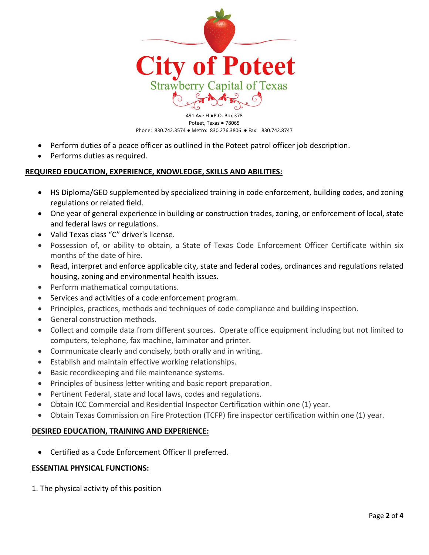

491 Ave H ●P.O. Box 378 Poteet, Texas · 78065 Phone: 830.742.3574 ● Metro: 830.276.3806 ● Fax: 830.742.8747

- Perform duties of a peace officer as outlined in the Poteet patrol officer job description.
- Performs duties as required.

## **REQUIRED EDUCATION, EXPERIENCE, KNOWLEDGE, SKILLS AND ABILITIES:**

- HS Diploma/GED supplemented by specialized training in code enforcement, building codes, and zoning regulations or related field.
- One year of general experience in building or construction trades, zoning, or enforcement of local, state and federal laws or regulations.
- Valid Texas class "C" driver's license.
- Possession of, or ability to obtain, a State of Texas Code Enforcement Officer Certificate within six months of the date of hire.
- Read, interpret and enforce applicable city, state and federal codes, ordinances and regulations related housing, zoning and environmental health issues.
- Perform mathematical computations.
- Services and activities of a code enforcement program.
- Principles, practices, methods and techniques of code compliance and building inspection.
- General construction methods.
- Collect and compile data from different sources. Operate office equipment including but not limited to computers, telephone, fax machine, laminator and printer.
- Communicate clearly and concisely, both orally and in writing.
- Establish and maintain effective working relationships.
- Basic recordkeeping and file maintenance systems.
- Principles of business letter writing and basic report preparation.
- Pertinent Federal, state and local laws, codes and regulations.
- Obtain ICC Commercial and Residential Inspector Certification within one (1) year.
- Obtain Texas Commission on Fire Protection (TCFP) fire inspector certification within one (1) year.

## **DESIRED EDUCATION, TRAINING AND EXPERIENCE:**

• Certified as a Code Enforcement Officer II preferred.

## **ESSENTIAL PHYSICAL FUNCTIONS:**

1. The physical activity of this position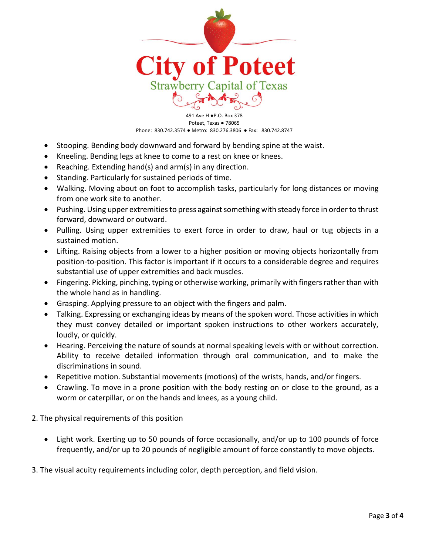

491 Ave H ●P.O. Box 378 Poteet, Texas ● 78065 Phone: 830.742.3574 ● Metro: 830.276.3806 ● Fax: 830.742.8747

- Stooping. Bending body downward and forward by bending spine at the waist.
- Kneeling. Bending legs at knee to come to a rest on knee or knees.
- Reaching. Extending hand(s) and arm(s) in any direction.
- Standing. Particularly for sustained periods of time.
- Walking. Moving about on foot to accomplish tasks, particularly for long distances or moving from one work site to another.
- Pushing. Using upper extremities to press against something with steady force in order to thrust forward, downward or outward.
- Pulling. Using upper extremities to exert force in order to draw, haul or tug objects in a sustained motion.
- Lifting. Raising objects from a lower to a higher position or moving objects horizontally from position-to-position. This factor is important if it occurs to a considerable degree and requires substantial use of upper extremities and back muscles.
- Fingering. Picking, pinching, typing or otherwise working, primarily with fingers rather than with the whole hand as in handling.
- Grasping. Applying pressure to an object with the fingers and palm.
- Talking. Expressing or exchanging ideas by means of the spoken word. Those activities in which they must convey detailed or important spoken instructions to other workers accurately, loudly, or quickly.
- Hearing. Perceiving the nature of sounds at normal speaking levels with or without correction. Ability to receive detailed information through oral communication, and to make the discriminations in sound.
- Repetitive motion. Substantial movements (motions) of the wrists, hands, and/or fingers.
- Crawling. To move in a prone position with the body resting on or close to the ground, as a worm or caterpillar, or on the hands and knees, as a young child.

2. The physical requirements of this position

- Light work. Exerting up to 50 pounds of force occasionally, and/or up to 100 pounds of force frequently, and/or up to 20 pounds of negligible amount of force constantly to move objects.
- 3. The visual acuity requirements including color, depth perception, and field vision.